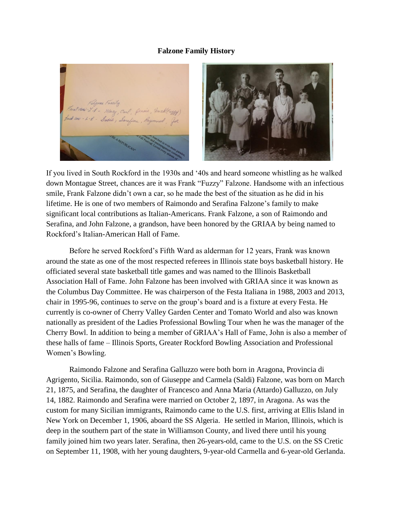## **Falzone Family History**



If you lived in South Rockford in the 1930s and '40s and heard someone whistling as he walked down Montague Street, chances are it was Frank "Fuzzy" Falzone. Handsome with an infectious smile, Frank Falzone didn't own a car, so he made the best of the situation as he did in his lifetime. He is one of two members of Raimondo and Serafina Falzone's family to make significant local contributions as Italian-Americans. Frank Falzone, a son of Raimondo and Serafina, and John Falzone, a grandson, have been honored by the GRIAA by being named to Rockford's Italian-American Hall of Fame.

Before he served Rockford's Fifth Ward as alderman for 12 years, Frank was known around the state as one of the most respected referees in Illinois state boys basketball history. He officiated several state basketball title games and was named to the Illinois Basketball Association Hall of Fame. John Falzone has been involved with GRIAA since it was known as the Columbus Day Committee. He was chairperson of the Festa Italiana in 1988, 2003 and 2013, chair in 1995-96, continues to serve on the group's board and is a fixture at every Festa. He currently is co-owner of Cherry Valley Garden Center and Tomato World and also was known nationally as president of the Ladies Professional Bowling Tour when he was the manager of the Cherry Bowl. In addition to being a member of GRIAA's Hall of Fame, John is also a member of these halls of fame – Illinois Sports, Greater Rockford Bowling Association and Professional Women's Bowling.

Raimondo Falzone and Serafina Galluzzo were both born in Aragona, Provincia di Agrigento, Sicilia. Raimondo, son of Giuseppe and Carmela (Saldi) Falzone, was born on March 21, 1875, and Serafina, the daughter of Francesco and Anna Maria (Attardo) Galluzzo, on July 14, 1882. Raimondo and Serafina were married on October 2, 1897, in Aragona. As was the custom for many Sicilian immigrants, Raimondo came to the U.S. first, arriving at Ellis Island in New York on December 1, 1906, aboard the SS Algeria. He settled in Marion, Illinois, which is deep in the southern part of the state in Williamson County, and lived there until his young family joined him two years later. Serafina, then 26-years-old, came to the U.S. on the SS Cretic on September 11, 1908, with her young daughters, 9-year-old Carmella and 6-year-old Gerlanda.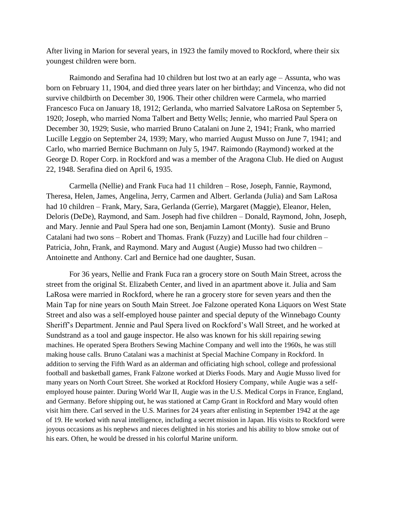After living in Marion for several years, in 1923 the family moved to Rockford, where their six youngest children were born.

Raimondo and Serafina had 10 children but lost two at an early age – Assunta, who was born on February 11, 1904, and died three years later on her birthday; and Vincenza, who did not survive childbirth on December 30, 1906. Their other children were Carmela, who married Francesco Fuca on January 18, 1912; Gerlanda, who married Salvatore LaRosa on September 5, 1920; Joseph, who married Noma Talbert and Betty Wells; Jennie, who married Paul Spera on December 30, 1929; Susie, who married Bruno Catalani on June 2, 1941; Frank, who married Lucille Leggio on September 24, 1939; Mary, who married August Musso on June 7, 1941; and Carlo, who married Bernice Buchmann on July 5, 1947. Raimondo (Raymond) worked at the George D. Roper Corp. in Rockford and was a member of the Aragona Club. He died on August 22, 1948. Serafina died on April 6, 1935.

Carmella (Nellie) and Frank Fuca had 11 children – Rose, Joseph, Fannie, Raymond, Theresa, Helen, James, Angelina, Jerry, Carmen and Albert. Gerlanda (Julia) and Sam LaRosa had 10 children – Frank, Mary, Sara, Gerlanda (Gerrie), Margaret (Maggie), Eleanor, Helen, Deloris (DeDe), Raymond, and Sam. Joseph had five children – Donald, Raymond, John, Joseph, and Mary. Jennie and Paul Spera had one son, Benjamin Lamont (Monty). Susie and Bruno Catalani had two sons – Robert and Thomas. Frank (Fuzzy) and Lucille had four children – Patricia, John, Frank, and Raymond. Mary and August (Augie) Musso had two children – Antoinette and Anthony. Carl and Bernice had one daughter, Susan.

For 36 years, Nellie and Frank Fuca ran a grocery store on South Main Street, across the street from the original St. Elizabeth Center, and lived in an apartment above it. Julia and Sam LaRosa were married in Rockford, where he ran a grocery store for seven years and then the Main Tap for nine years on South Main Street. Joe Falzone operated Kona Liquors on West State Street and also was a self-employed house painter and special deputy of the Winnebago County Sheriff's Department. Jennie and Paul Spera lived on Rockford's Wall Street, and he worked at Sundstrand as a tool and gauge inspector. He also was known for his skill repairing sewing machines. He operated Spera Brothers Sewing Machine Company and well into the 1960s, he was still making house calls. Bruno Catalani was a machinist at Special Machine Company in Rockford. In addition to serving the Fifth Ward as an alderman and officiating high school, college and professional football and basketball games, Frank Falzone worked at Dierks Foods. Mary and Augie Musso lived for many years on North Court Street. She worked at Rockford Hosiery Company, while Augie was a selfemployed house painter. During World War II, Augie was in the U.S. Medical Corps in France, England, and Germany. Before shipping out, he was stationed at Camp Grant in Rockford and Mary would often visit him there. Carl served in the U.S. Marines for 24 years after enlisting in September 1942 at the age of 19. He worked with naval intelligence, including a secret mission in Japan. His visits to Rockford were joyous occasions as his nephews and nieces delighted in his stories and his ability to blow smoke out of his ears. Often, he would be dressed in his colorful Marine uniform.